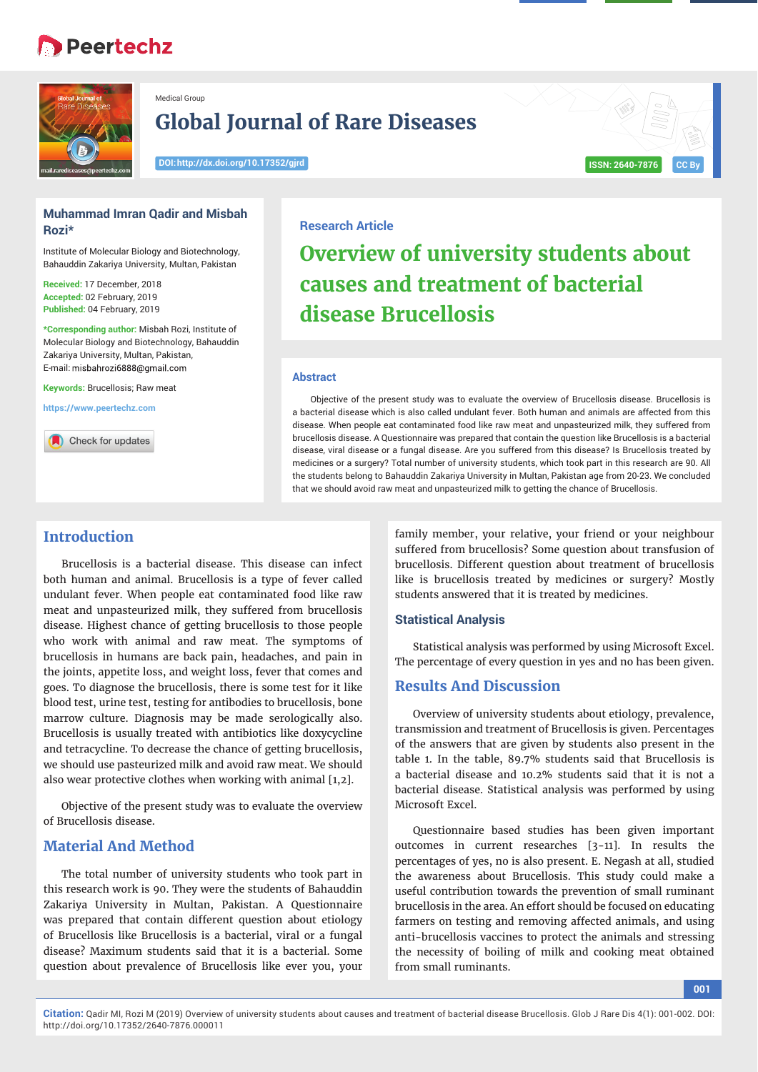# **Peertechz**



**Rozi\*** 

Medical Group

## **Global Journal of Rare Diseases**

**DOI: http://dx.doi.org/10.17352/gjrd ISSN: 2640-7876 CC By**

# **Muhammad Imran Qadir and Misbah**

Institute of Molecular Biology and Biotechnology, Bahauddin Zakariya University, Multan, Pakistan

**Received:** 17 December, 2018 **Accepted:** 02 February, 2019 **Published:** 04 February, 2019

**\*Corresponding author:** Misbah Rozi, Institute of Molecular Biology and Biotechnology, Bahauddin Zakariya University, Multan, Pakistan, E-mail: misbahrozi6888@gmail.com

**Keywords:** Brucellosis; Raw meat

**https://www.peertechz.com**

Check for updates

#### **Research Article**

# **Overview of university students about causes and treatment of bacterial disease Brucellosis**

#### **Abstract**

Objective of the present study was to evaluate the overview of Brucellosis disease. Brucellosis is a bacterial disease which is also called undulant fever. Both human and animals are affected from this disease. When people eat contaminated food like raw meat and unpasteurized milk, they suffered from brucellosis disease. A Questionnaire was prepared that contain the question like Brucellosis is a bacterial disease, viral disease or a fungal disease. Are you suffered from this disease? Is Brucellosis treated by medicines or a surgery? Total number of university students, which took part in this research are 90. All the students belong to Bahauddin Zakariya University in Multan, Pakistan age from 20-23. We concluded that we should avoid raw meat and unpasteurized milk to getting the chance of Brucellosis.

### **Introduction**

Brucellosis is a bacterial disease. This disease can infect both human and animal. Brucellosis is a type of fever called undulant fever. When people eat contaminated food like raw meat and unpasteurized milk, they suffered from brucellosis disease. Highest chance of getting brucellosis to those people who work with animal and raw meat. The symptoms of brucellosis in humans are back pain, headaches, and pain in the joints, appetite loss, and weight loss, fever that comes and goes. To diagnose the brucellosis, there is some test for it like blood test, urine test, testing for antibodies to brucellosis, bone marrow culture. Diagnosis may be made serologically also. Brucellosis is usually treated with antibiotics like doxycycline and tetracycline. To decrease the chance of getting brucellosis, we should use pasteurized milk and avoid raw meat. We should also wear protective clothes when working with animal [1,2].

Objective of the present study was to evaluate the overview of Brucellosis disease.

### **Material And Method**

The total number of university students who took part in this research work is 90. They were the students of Bahauddin Zakariya University in Multan, Pakistan. A Questionnaire was prepared that contain different question about etiology of Brucellosis like Brucellosis is a bacterial, viral or a fungal disease? Maximum students said that it is a bacterial. Some question about prevalence of Brucellosis like ever you, your

family member, your relative, your friend or your neighbour suffered from brucellosis? Some question about transfusion of brucellosis. Different question about treatment of brucellosis like is brucellosis treated by medicines or surgery? Mostly students answered that it is treated by medicines.

#### **Statistical Analysis**

Statistical analysis was performed by using Microsoft Excel. The percentage of every question in yes and no has been given.

#### **Results And Discussion**

Overview of university students about etiology, prevalence, transmission and treatment of Brucellosis is given. Percentages of the answers that are given by students also present in the table 1. In the table, 89.7% students said that Brucellosis is a bacterial disease and 10.2% students said that it is not a bacterial disease. Statistical analysis was performed by using Microsoft Excel.

Questionnaire based studies has been given important outcomes in current researches [3-11]. In results the percentages of yes, no is also present. E. Negash at all, studied the awareness about Brucellosis. This study could make a useful contribution towards the prevention of small ruminant brucellosis in the area. An effort should be focused on educating farmers on testing and removing affected animals, and using anti-brucellosis vaccines to protect the animals and stressing the necessity of boiling of milk and cooking meat obtained from small ruminants.